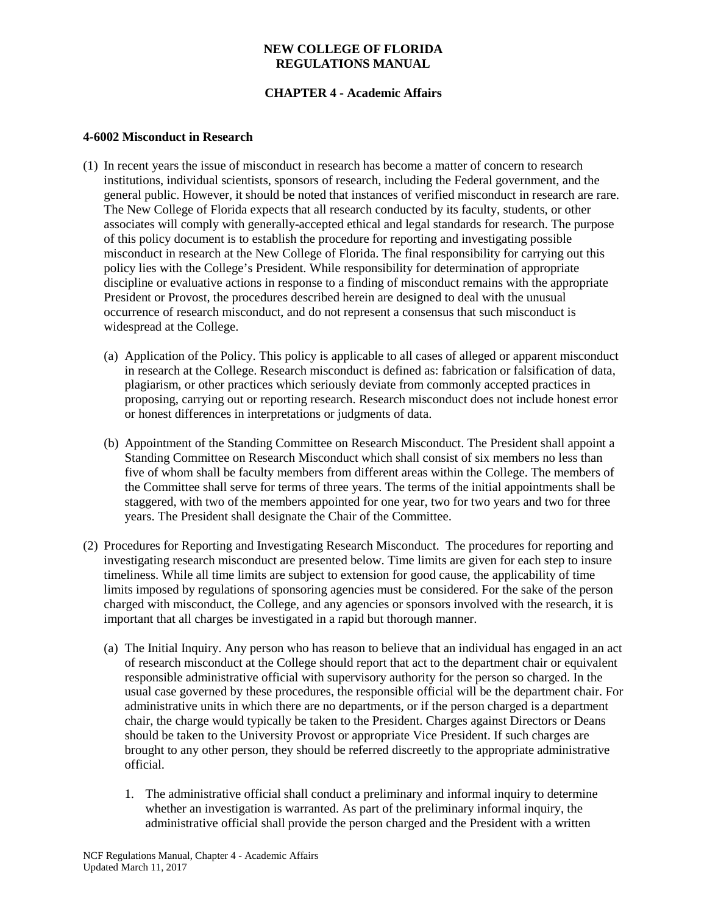# **CHAPTER 4 - Academic Affairs**

### **4-6002 Misconduct in Research**

- (1) In recent years the issue of misconduct in research has become a matter of concern to research institutions, individual scientists, sponsors of research, including the Federal government, and the general public. However, it should be noted that instances of verified misconduct in research are rare. The New College of Florida expects that all research conducted by its faculty, students, or other associates will comply with generally-accepted ethical and legal standards for research. The purpose of this policy document is to establish the procedure for reporting and investigating possible misconduct in research at the New College of Florida. The final responsibility for carrying out this policy lies with the College's President. While responsibility for determination of appropriate discipline or evaluative actions in response to a finding of misconduct remains with the appropriate President or Provost, the procedures described herein are designed to deal with the unusual occurrence of research misconduct, and do not represent a consensus that such misconduct is widespread at the College.
	- (a) Application of the Policy. This policy is applicable to all cases of alleged or apparent misconduct in research at the College. Research misconduct is defined as: fabrication or falsification of data, plagiarism, or other practices which seriously deviate from commonly accepted practices in proposing, carrying out or reporting research. Research misconduct does not include honest error or honest differences in interpretations or judgments of data.
	- (b) Appointment of the Standing Committee on Research Misconduct. The President shall appoint a Standing Committee on Research Misconduct which shall consist of six members no less than five of whom shall be faculty members from different areas within the College. The members of the Committee shall serve for terms of three years. The terms of the initial appointments shall be staggered, with two of the members appointed for one year, two for two years and two for three years. The President shall designate the Chair of the Committee.
- (2) Procedures for Reporting and Investigating Research Misconduct. The procedures for reporting and investigating research misconduct are presented below. Time limits are given for each step to insure timeliness. While all time limits are subject to extension for good cause, the applicability of time limits imposed by regulations of sponsoring agencies must be considered. For the sake of the person charged with misconduct, the College, and any agencies or sponsors involved with the research, it is important that all charges be investigated in a rapid but thorough manner.
	- (a) The Initial Inquiry. Any person who has reason to believe that an individual has engaged in an act of research misconduct at the College should report that act to the department chair or equivalent responsible administrative official with supervisory authority for the person so charged. In the usual case governed by these procedures, the responsible official will be the department chair. For administrative units in which there are no departments, or if the person charged is a department chair, the charge would typically be taken to the President. Charges against Directors or Deans should be taken to the University Provost or appropriate Vice President. If such charges are brought to any other person, they should be referred discreetly to the appropriate administrative official.
		- 1. The administrative official shall conduct a preliminary and informal inquiry to determine whether an investigation is warranted. As part of the preliminary informal inquiry, the administrative official shall provide the person charged and the President with a written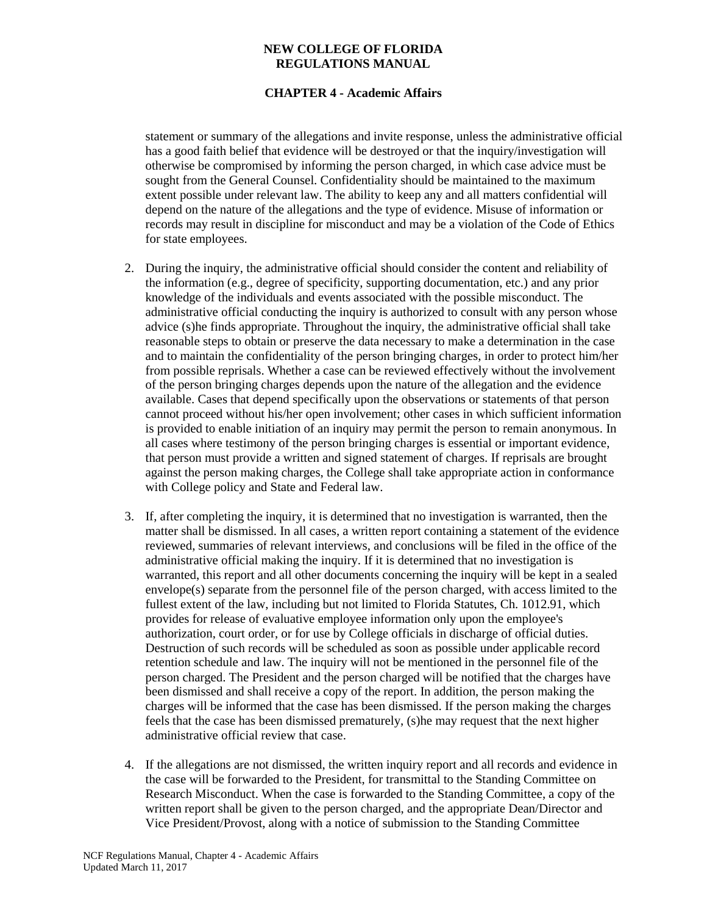## **CHAPTER 4 - Academic Affairs**

statement or summary of the allegations and invite response, unless the administrative official has a good faith belief that evidence will be destroyed or that the inquiry/investigation will otherwise be compromised by informing the person charged, in which case advice must be sought from the General Counsel. Confidentiality should be maintained to the maximum extent possible under relevant law. The ability to keep any and all matters confidential will depend on the nature of the allegations and the type of evidence. Misuse of information or records may result in discipline for misconduct and may be a violation of the Code of Ethics for state employees.

- 2. During the inquiry, the administrative official should consider the content and reliability of the information (e.g., degree of specificity, supporting documentation, etc.) and any prior knowledge of the individuals and events associated with the possible misconduct. The administrative official conducting the inquiry is authorized to consult with any person whose advice (s)he finds appropriate. Throughout the inquiry, the administrative official shall take reasonable steps to obtain or preserve the data necessary to make a determination in the case and to maintain the confidentiality of the person bringing charges, in order to protect him/her from possible reprisals. Whether a case can be reviewed effectively without the involvement of the person bringing charges depends upon the nature of the allegation and the evidence available. Cases that depend specifically upon the observations or statements of that person cannot proceed without his/her open involvement; other cases in which sufficient information is provided to enable initiation of an inquiry may permit the person to remain anonymous. In all cases where testimony of the person bringing charges is essential or important evidence, that person must provide a written and signed statement of charges. If reprisals are brought against the person making charges, the College shall take appropriate action in conformance with College policy and State and Federal law.
- 3. If, after completing the inquiry, it is determined that no investigation is warranted, then the matter shall be dismissed. In all cases, a written report containing a statement of the evidence reviewed, summaries of relevant interviews, and conclusions will be filed in the office of the administrative official making the inquiry. If it is determined that no investigation is warranted, this report and all other documents concerning the inquiry will be kept in a sealed envelope(s) separate from the personnel file of the person charged, with access limited to the fullest extent of the law, including but not limited to Florida Statutes, Ch. 1012.91, which provides for release of evaluative employee information only upon the employee's authorization, court order, or for use by College officials in discharge of official duties. Destruction of such records will be scheduled as soon as possible under applicable record retention schedule and law. The inquiry will not be mentioned in the personnel file of the person charged. The President and the person charged will be notified that the charges have been dismissed and shall receive a copy of the report. In addition, the person making the charges will be informed that the case has been dismissed. If the person making the charges feels that the case has been dismissed prematurely, (s)he may request that the next higher administrative official review that case.
- 4. If the allegations are not dismissed, the written inquiry report and all records and evidence in the case will be forwarded to the President, for transmittal to the Standing Committee on Research Misconduct. When the case is forwarded to the Standing Committee, a copy of the written report shall be given to the person charged, and the appropriate Dean/Director and Vice President/Provost, along with a notice of submission to the Standing Committee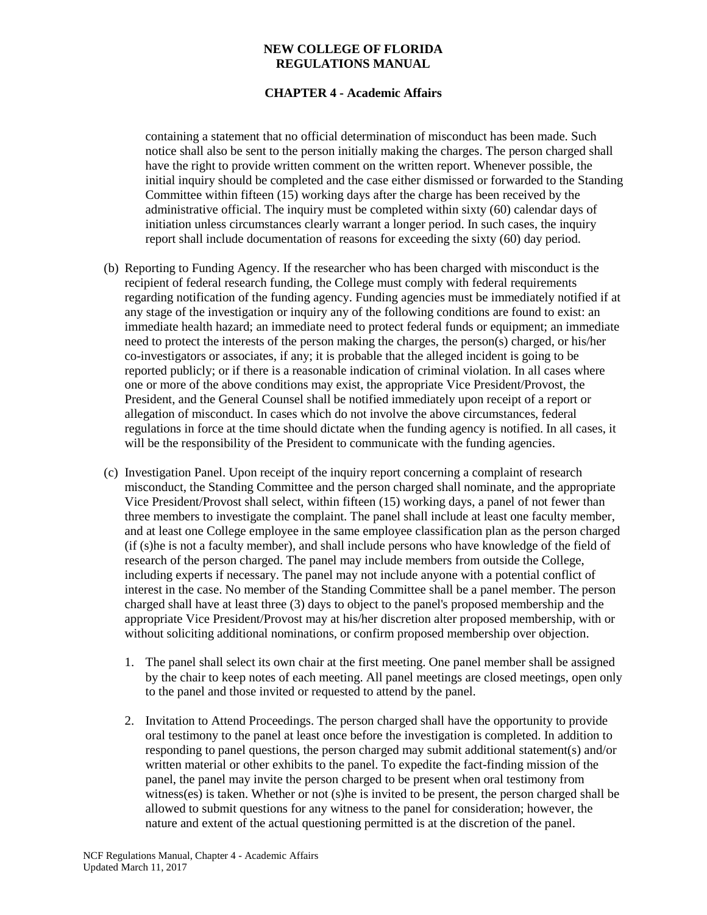## **CHAPTER 4 - Academic Affairs**

containing a statement that no official determination of misconduct has been made. Such notice shall also be sent to the person initially making the charges. The person charged shall have the right to provide written comment on the written report. Whenever possible, the initial inquiry should be completed and the case either dismissed or forwarded to the Standing Committee within fifteen (15) working days after the charge has been received by the administrative official. The inquiry must be completed within sixty (60) calendar days of initiation unless circumstances clearly warrant a longer period. In such cases, the inquiry report shall include documentation of reasons for exceeding the sixty (60) day period.

- (b) Reporting to Funding Agency. If the researcher who has been charged with misconduct is the recipient of federal research funding, the College must comply with federal requirements regarding notification of the funding agency. Funding agencies must be immediately notified if at any stage of the investigation or inquiry any of the following conditions are found to exist: an immediate health hazard; an immediate need to protect federal funds or equipment; an immediate need to protect the interests of the person making the charges, the person(s) charged, or his/her co-investigators or associates, if any; it is probable that the alleged incident is going to be reported publicly; or if there is a reasonable indication of criminal violation. In all cases where one or more of the above conditions may exist, the appropriate Vice President/Provost, the President, and the General Counsel shall be notified immediately upon receipt of a report or allegation of misconduct. In cases which do not involve the above circumstances, federal regulations in force at the time should dictate when the funding agency is notified. In all cases, it will be the responsibility of the President to communicate with the funding agencies.
- (c) Investigation Panel. Upon receipt of the inquiry report concerning a complaint of research misconduct, the Standing Committee and the person charged shall nominate, and the appropriate Vice President/Provost shall select, within fifteen (15) working days, a panel of not fewer than three members to investigate the complaint. The panel shall include at least one faculty member, and at least one College employee in the same employee classification plan as the person charged (if (s)he is not a faculty member), and shall include persons who have knowledge of the field of research of the person charged. The panel may include members from outside the College, including experts if necessary. The panel may not include anyone with a potential conflict of interest in the case. No member of the Standing Committee shall be a panel member. The person charged shall have at least three (3) days to object to the panel's proposed membership and the appropriate Vice President/Provost may at his/her discretion alter proposed membership, with or without soliciting additional nominations, or confirm proposed membership over objection.
	- 1. The panel shall select its own chair at the first meeting. One panel member shall be assigned by the chair to keep notes of each meeting. All panel meetings are closed meetings, open only to the panel and those invited or requested to attend by the panel.
	- 2. Invitation to Attend Proceedings. The person charged shall have the opportunity to provide oral testimony to the panel at least once before the investigation is completed. In addition to responding to panel questions, the person charged may submit additional statement(s) and/or written material or other exhibits to the panel. To expedite the fact-finding mission of the panel, the panel may invite the person charged to be present when oral testimony from witness(es) is taken. Whether or not (s)he is invited to be present, the person charged shall be allowed to submit questions for any witness to the panel for consideration; however, the nature and extent of the actual questioning permitted is at the discretion of the panel.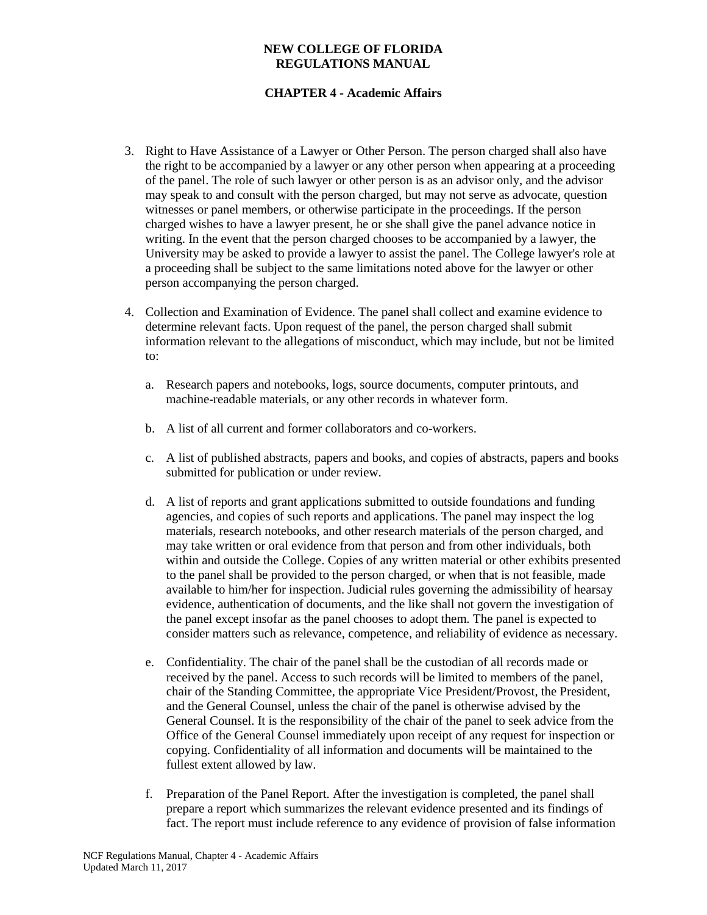# **CHAPTER 4 - Academic Affairs**

- 3. Right to Have Assistance of a Lawyer or Other Person. The person charged shall also have the right to be accompanied by a lawyer or any other person when appearing at a proceeding of the panel. The role of such lawyer or other person is as an advisor only, and the advisor may speak to and consult with the person charged, but may not serve as advocate, question witnesses or panel members, or otherwise participate in the proceedings. If the person charged wishes to have a lawyer present, he or she shall give the panel advance notice in writing. In the event that the person charged chooses to be accompanied by a lawyer, the University may be asked to provide a lawyer to assist the panel. The College lawyer's role at a proceeding shall be subject to the same limitations noted above for the lawyer or other person accompanying the person charged.
- 4. Collection and Examination of Evidence. The panel shall collect and examine evidence to determine relevant facts. Upon request of the panel, the person charged shall submit information relevant to the allegations of misconduct, which may include, but not be limited to:
	- a. Research papers and notebooks, logs, source documents, computer printouts, and machine-readable materials, or any other records in whatever form.
	- b. A list of all current and former collaborators and co-workers.
	- c. A list of published abstracts, papers and books, and copies of abstracts, papers and books submitted for publication or under review.
	- d. A list of reports and grant applications submitted to outside foundations and funding agencies, and copies of such reports and applications. The panel may inspect the log materials, research notebooks, and other research materials of the person charged, and may take written or oral evidence from that person and from other individuals, both within and outside the College. Copies of any written material or other exhibits presented to the panel shall be provided to the person charged, or when that is not feasible, made available to him/her for inspection. Judicial rules governing the admissibility of hearsay evidence, authentication of documents, and the like shall not govern the investigation of the panel except insofar as the panel chooses to adopt them. The panel is expected to consider matters such as relevance, competence, and reliability of evidence as necessary.
	- e. Confidentiality. The chair of the panel shall be the custodian of all records made or received by the panel. Access to such records will be limited to members of the panel, chair of the Standing Committee, the appropriate Vice President/Provost, the President, and the General Counsel, unless the chair of the panel is otherwise advised by the General Counsel. It is the responsibility of the chair of the panel to seek advice from the Office of the General Counsel immediately upon receipt of any request for inspection or copying. Confidentiality of all information and documents will be maintained to the fullest extent allowed by law.
	- f. Preparation of the Panel Report. After the investigation is completed, the panel shall prepare a report which summarizes the relevant evidence presented and its findings of fact. The report must include reference to any evidence of provision of false information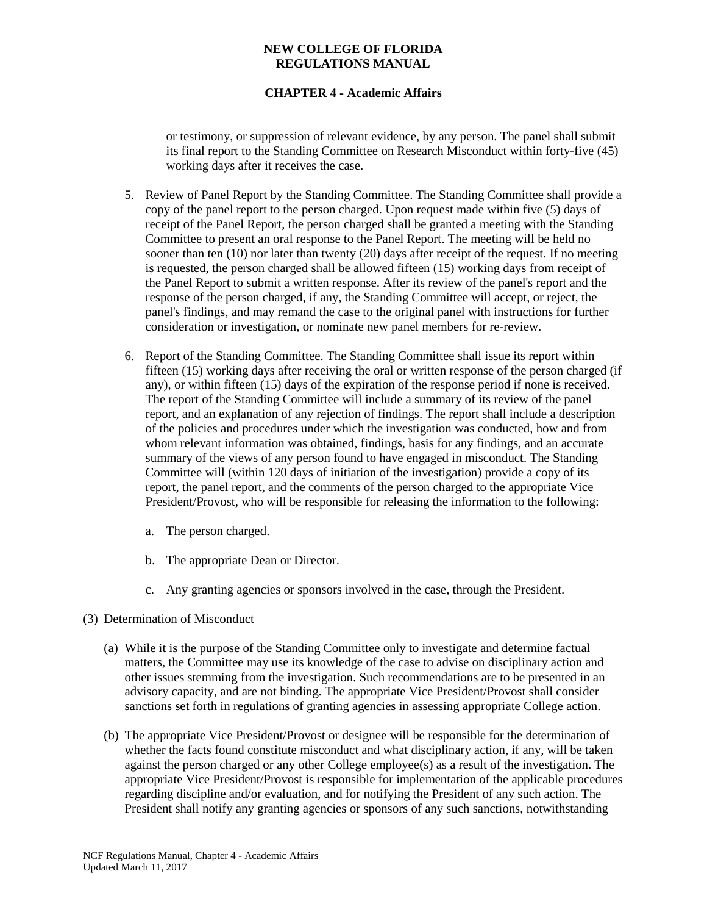# **CHAPTER 4 - Academic Affairs**

or testimony, or suppression of relevant evidence, by any person. The panel shall submit its final report to the Standing Committee on Research Misconduct within forty-five (45) working days after it receives the case.

- 5. Review of Panel Report by the Standing Committee. The Standing Committee shall provide a copy of the panel report to the person charged. Upon request made within five (5) days of receipt of the Panel Report, the person charged shall be granted a meeting with the Standing Committee to present an oral response to the Panel Report. The meeting will be held no sooner than ten (10) nor later than twenty (20) days after receipt of the request. If no meeting is requested, the person charged shall be allowed fifteen (15) working days from receipt of the Panel Report to submit a written response. After its review of the panel's report and the response of the person charged, if any, the Standing Committee will accept, or reject, the panel's findings, and may remand the case to the original panel with instructions for further consideration or investigation, or nominate new panel members for re-review.
- 6. Report of the Standing Committee. The Standing Committee shall issue its report within fifteen (15) working days after receiving the oral or written response of the person charged (if any), or within fifteen (15) days of the expiration of the response period if none is received. The report of the Standing Committee will include a summary of its review of the panel report, and an explanation of any rejection of findings. The report shall include a description of the policies and procedures under which the investigation was conducted, how and from whom relevant information was obtained, findings, basis for any findings, and an accurate summary of the views of any person found to have engaged in misconduct. The Standing Committee will (within 120 days of initiation of the investigation) provide a copy of its report, the panel report, and the comments of the person charged to the appropriate Vice President/Provost, who will be responsible for releasing the information to the following:
	- a. The person charged.
	- b. The appropriate Dean or Director.
	- c. Any granting agencies or sponsors involved in the case, through the President.
- (3) Determination of Misconduct
	- (a) While it is the purpose of the Standing Committee only to investigate and determine factual matters, the Committee may use its knowledge of the case to advise on disciplinary action and other issues stemming from the investigation. Such recommendations are to be presented in an advisory capacity, and are not binding. The appropriate Vice President/Provost shall consider sanctions set forth in regulations of granting agencies in assessing appropriate College action.
	- (b) The appropriate Vice President/Provost or designee will be responsible for the determination of whether the facts found constitute misconduct and what disciplinary action, if any, will be taken against the person charged or any other College employee(s) as a result of the investigation. The appropriate Vice President/Provost is responsible for implementation of the applicable procedures regarding discipline and/or evaluation, and for notifying the President of any such action. The President shall notify any granting agencies or sponsors of any such sanctions, notwithstanding